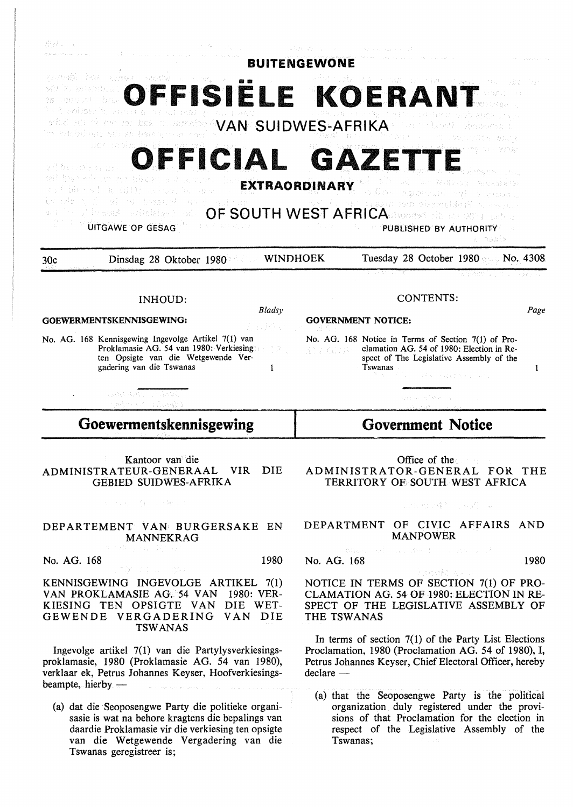| Malaysia (California)                                                                          |                 | 그만 그만 그렇고 그만 보기                                                                                  |      |
|------------------------------------------------------------------------------------------------|-----------------|--------------------------------------------------------------------------------------------------|------|
| visted in a seminar and the                                                                    |                 | <b>BUITENGEWONE</b>                                                                              |      |
| P. BERGEDIAL                                                                                   |                 | <b>JFFISIËLE KOERANT</b>                                                                         |      |
| <sup>n</sup> o ĉukalime listas                                                                 |                 |                                                                                                  |      |
| and a set of the second communication (NAN) SUIDWES-AFRIKA .<br>to tanbibuse sia zi bon        |                 |                                                                                                  |      |
|                                                                                                |                 |                                                                                                  |      |
| 使用来建筑 计分类组织 计生物                                                                                |                 | OFFICIAL GAZETTE                                                                                 |      |
| tell faxes who are perceibled                                                                  |                 | 不算按照 经公司 医乳房<br>(4) 13 100 100 12:40 0.0 400 300 300<br><b>EXTRAORDINARY</b>                     |      |
| (能) (服) }} (以) { ()}                                                                           |                 | Sabba agustad et canoona<br>BESID TOM SUBSIDIARY                                                 |      |
| yi iko yash<br>avinisko a                                                                      |                 | OF SOUTH WEST AFRICACTORES IN 1998                                                               |      |
| <b>UITGAWE OP GESAG</b>                                                                        |                 | PUBLISHED BY AUTHORITY                                                                           |      |
|                                                                                                |                 |                                                                                                  |      |
|                                                                                                |                 | nsbi>                                                                                            |      |
| Dinsdag 28 Oktober 1980<br>30c                                                                 | <b>WINDHOEK</b> | Tuesday 28 October 1980 No. 4308                                                                 |      |
|                                                                                                |                 | 医细胞结膜 计转<br>使气势的人                                                                                |      |
| <b>INHOUD:</b>                                                                                 |                 | <b>CONTENTS:</b>                                                                                 |      |
| GOEWERMENTSKENNISGEWING:                                                                       | Bladsy          |                                                                                                  | Page |
|                                                                                                | 出 折り            | <b>GOVERNMENT NOTICE:</b>                                                                        |      |
| No. AG. 168 Kennisgewing Ingevolge Artikel 7(1) van<br>Proklamasie AG. 54 van 1980: Verkiesing |                 | No. AG. 168 Notice in Terms of Section 7(1) of Pro-<br>clamation AG, 54 of 1980: Election in Re- |      |
| ten Opsigte van die Wetgewende Ver-<br>gadering van die Tswanas                                | 1               | spect of The Legislative Assembly of the<br>Tswanas                                              | 1    |
|                                                                                                |                 | きょうがっこう ないしょうほう しょう                                                                              |      |
| ARREST MARKET<br>Edentification in Bear                                                        |                 | test all effective car                                                                           |      |
| Goewermentskennisgewing                                                                        |                 | <b>Government Notice</b>                                                                         |      |

Kantoor van die ADMINISTRATEUR-GENERAAL VIR DIE GEBIED SUIDWES-AFRIKA

**2004年1月 日本報告 社** 

### DEPARTEMENT VAN BURGERSAKE EN MANNEKRAG

No. AG. 168 1980

KENNISGEWING INGEVOLGE ARTIKEL 7(1) VAN PROKLAMASIE AG. 54 VAN 1980: VER-KIESING TEN OPSIGTE VAN DIE WET-GEWENDE VERGADERING VAN DIE TSWANAS

lngevolge artikel 7(1) van die Partylysverkiesingsproklamasie, 1980 (Proklamasie AG. 54 van 1980), verklaar ek, Petrus Johannes Keyser, Hoofverkiesingsbeampte, hierby -

(a) dat die Seoposengwe Party die politieke organisasie is wat na behore kragtens die bepalings van daardie Proklamasie vir die verkiesing ten opsigte van die Wetgewende Vergadering van die Tswanas geregistreer is;

Office of the ADMINISTRATOR-GENERAL FOR THE TERRITORY OF SOUTH WEST AFRICA

山岳 化四聚合同 化规则

DEPARTMENT OF CIVIC AFFAIRS AND MANPOWER

No. AG. 168 1980

NOTICE IN TERMS OF SECTION 7(1) OF PRO-CLAMATION AG. 54 OF 1980: ELECTION IN RE-SPECT OF THE LEGISLATIVE ASSEMBLY OF THE TSWANAS

In terms of section  $7(1)$  of the Party List Elections Proclamation, 1980 (Proclamation AG. 54 of 1980), I, Petrus Johannes Keyser, Chief Electoral Officer, hereby  $declace -$ 

(a) that the Seoposengwe Party is the political organization duly registered under the provisions of that Proclamation for the election in respect of the Legislative Assembly of the Tswanas;